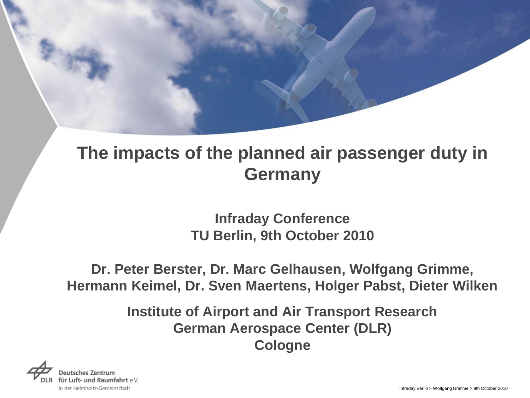**Infraday Conference TU Berlin, 9th October 2010**

#### **Dr. Peter Berster, Dr. Marc Gelhausen, Wolfgang Grimme, Hermann Keimel, Dr. Sven Maertens, Holger Pabst, Dieter Wilken**

**Institute of Airport and Air Transport Research German Aerospace Center (DLR) Cologne**

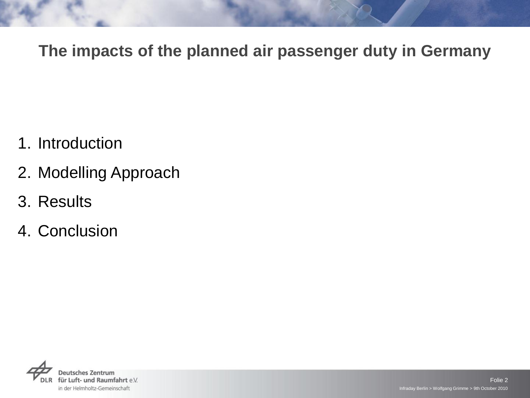- 1. Introduction
- 2. Modelling Approach
- 3. Results
- 4. Conclusion

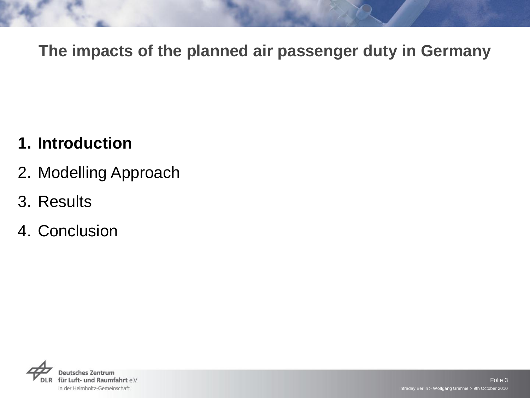### **1. Introduction**

- 2. Modelling Approach
- 3. Results
- 4. Conclusion

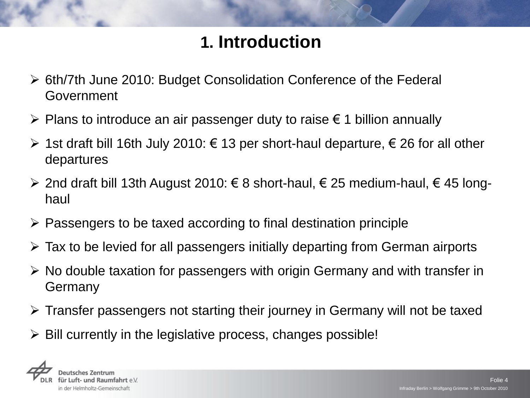# **1. Introduction**

- 6th/7th June 2010: Budget Consolidation Conference of the Federal Government
- $\triangleright$  Plans to introduce an air passenger duty to raise  $\epsilon$  1 billion annually
- $\triangleright$  1st draft bill 16th July 2010: € 13 per short-haul departure, € 26 for all other departures
- > 2nd draft bill 13th August 2010: € 8 short-haul, € 25 medium-haul, € 45 longhaul
- $\triangleright$  Passengers to be taxed according to final destination principle
- $\triangleright$  Tax to be levied for all passengers initially departing from German airports
- $\triangleright$  No double taxation for passengers with origin Germany and with transfer in Germany
- $\triangleright$  Transfer passengers not starting their journey in Germany will not be taxed
- $\triangleright$  Bill currently in the legislative process, changes possible!

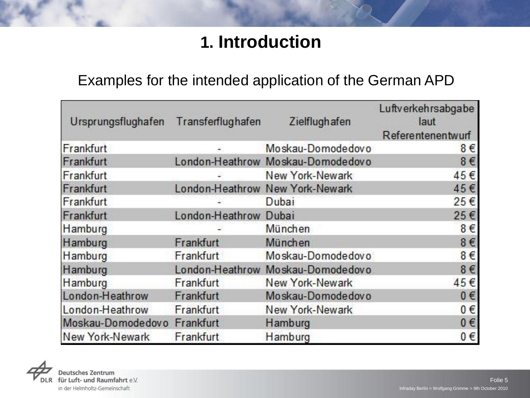# **1. Introduction**

#### Examples for the intended application of the German APD

| Ursprungsflughafen Transferflughafen |                       | Zielflughafen                     | Luftverkehrsabgabe<br>laut<br>Referentenentwurf |
|--------------------------------------|-----------------------|-----------------------------------|-------------------------------------------------|
| Frankfurt                            |                       | Moskau-Domodedovo                 | 8€                                              |
| Frankfurt                            |                       | London-Heathrow Moskau-Domodedovo | 8€                                              |
| Frankfurt                            |                       | New York-Newark                   | 45€                                             |
| Frankfurt                            |                       | London-Heathrow New York-Newark   | 45€                                             |
| Frankfurt                            |                       | Dubai                             | 25€                                             |
| Frankfurt                            | London-Heathrow Dubai |                                   | 25€                                             |
| Hamburg                              |                       | München                           | 8€                                              |
| Hamburg                              | Frankfurt             | München                           | $8 \in$                                         |
| Hamburg                              | Frankfurt             | Moskau-Domodedovo                 | $8 \in$                                         |
| Hamburg                              |                       | London-Heathrow Moskau-Domodedovo | 8€                                              |
| Hamburg                              | Frankfurt             | New York-Newark                   | 45€                                             |
| London-Heathrow                      | Frankfurt             | Moskau-Domodedovo                 | $0 \in$                                         |
| London-Heathrow                      | Frankfurt             | New York-Newark                   | 0€                                              |
| Moskau-Domodedovo Frankfurt          |                       | Hamburg                           | 0€                                              |
| New York-Newark                      | Frankfurt             | Hamburg                           | 0€                                              |

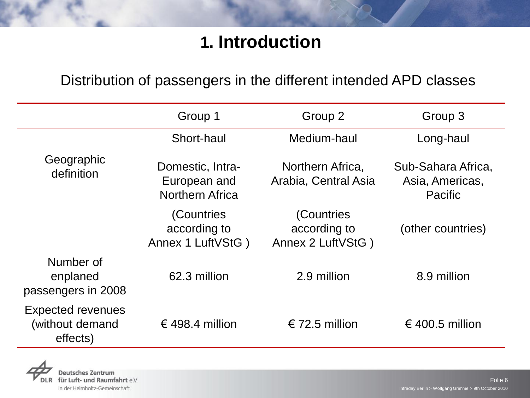# **1. Introduction**

#### Distribution of passengers in the different intended APD classes

|                                                         | Group 1                                                    | Group 2                                         | Group 3                                                 |
|---------------------------------------------------------|------------------------------------------------------------|-------------------------------------------------|---------------------------------------------------------|
|                                                         | Short-haul                                                 | Medium-haul                                     | Long-haul                                               |
| Geographic<br>definition                                | Domestic, Intra-<br>European and<br><b>Northern Africa</b> | Northern Africa,<br>Arabia, Central Asia        | Sub-Sahara Africa,<br>Asia, Americas,<br><b>Pacific</b> |
|                                                         | (Countries<br>according to<br>Annex 1 LuftVStG)            | (Countries<br>according to<br>Annex 2 LuftVStG) | (other countries)                                       |
| Number of<br>enplaned<br>passengers in 2008             | 62.3 million                                               | 2.9 million                                     | 8.9 million                                             |
| <b>Expected revenues</b><br>(without demand<br>effects) | € 498.4 million                                            | € 72.5 million                                  | € 400.5 million                                         |

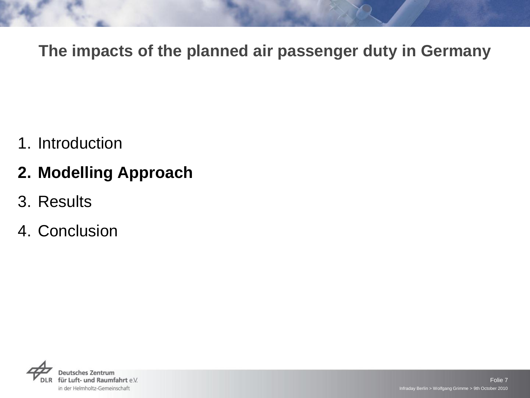1. Introduction

### **2. Modelling Approach**

- 3. Results
- 4. Conclusion

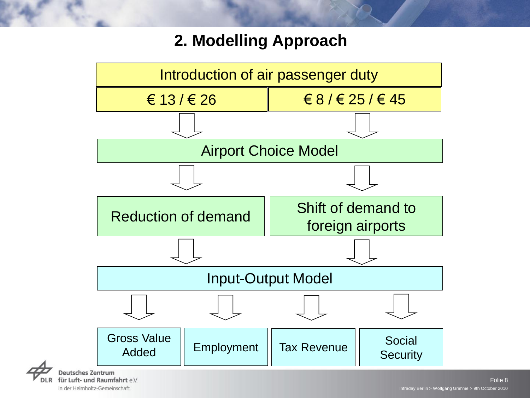

in der Helmholtz-Gemeinschaft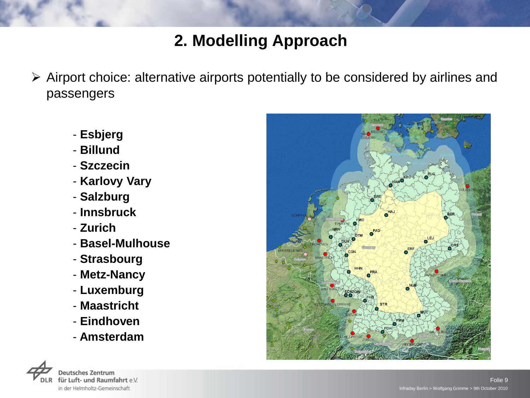- Airport choice: alternative airports potentially to be considered by airlines and passengers
	- **Esbjerg**
	- **Billund**
	- **Szczecin**
	- **Karlovy Vary**
	- **Salzburg**
	- **Innsbruck**
	- **Zurich**
	- **Basel-Mulhouse**
	- **Strasbourg**
	- **Metz-Nancy**
	- **Luxemburg**
	- **Maastricht**
	- **Eindhoven**
	- **Amsterdam**



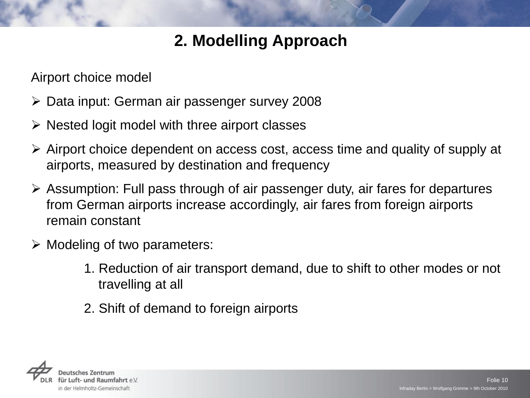Airport choice model

- Data input: German air passenger survey 2008
- $\triangleright$  Nested logit model with three airport classes
- Airport choice dependent on access cost, access time and quality of supply at airports, measured by destination and frequency
- Assumption: Full pass through of air passenger duty, air fares for departures from German airports increase accordingly, air fares from foreign airports remain constant
- $\triangleright$  Modeling of two parameters:
	- 1. Reduction of air transport demand, due to shift to other modes or not travelling at all
	- 2. Shift of demand to foreign airports

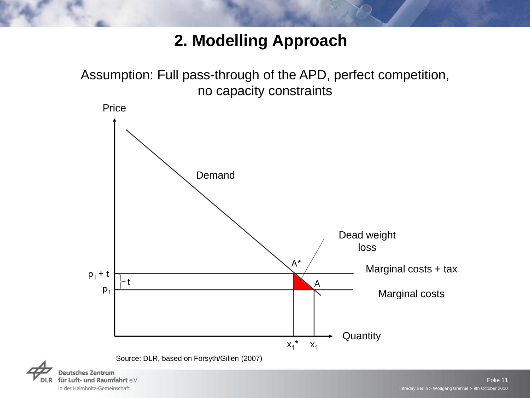

in der Helmholtz-Gemeinschaft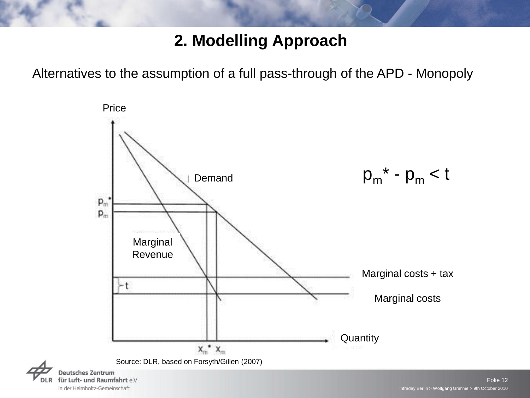Alternatives to the assumption of a full pass-through of the APD - Monopoly



in der Helmholtz-Gemeinschaft

Folie 12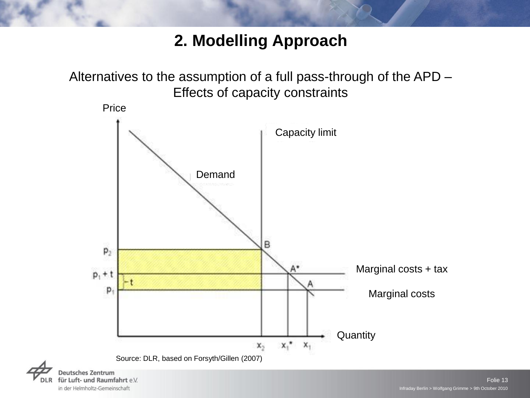Alternatives to the assumption of a full pass-through of the APD – Effects of capacity constraints



in der Helmholtz-Gemeinschaft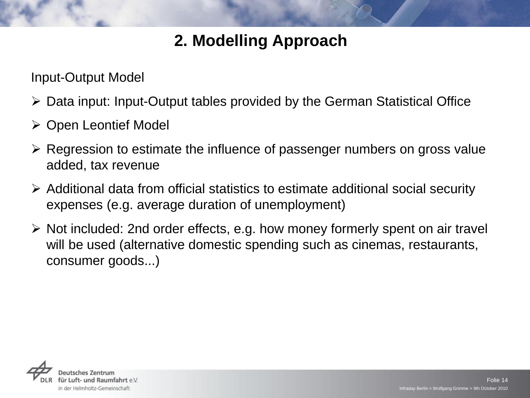Input-Output Model

- Data input: Input-Output tables provided by the German Statistical Office
- Open Leontief Model
- $\triangleright$  Regression to estimate the influence of passenger numbers on gross value added, tax revenue
- Additional data from official statistics to estimate additional social security expenses (e.g. average duration of unemployment)
- $\triangleright$  Not included: 2nd order effects, e.g. how money formerly spent on air travel will be used (alternative domestic spending such as cinemas, restaurants, consumer goods...)

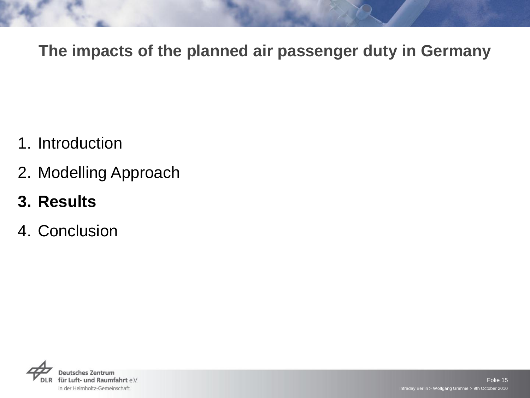- 1. Introduction
- 2. Modelling Approach
- **3. Results**
- 4. Conclusion

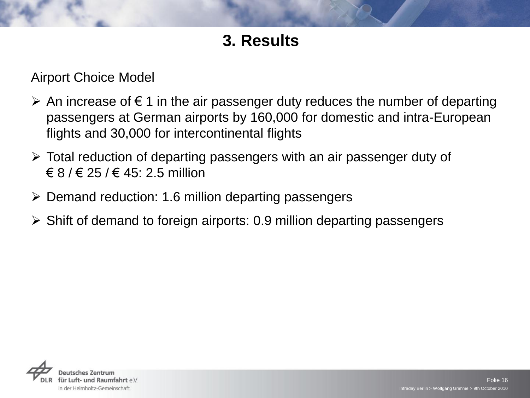### **3. Results**

Airport Choice Model

- $\triangleright$  An increase of  $\epsilon$  1 in the air passenger duty reduces the number of departing passengers at German airports by 160,000 for domestic and intra-European flights and 30,000 for intercontinental flights
- Total reduction of departing passengers with an air passenger duty of  $\in$  8 /  $\in$  25 /  $\in$  45: 2.5 million
- $\triangleright$  Demand reduction: 1.6 million departing passengers
- $\triangleright$  Shift of demand to foreign airports: 0.9 million departing passengers

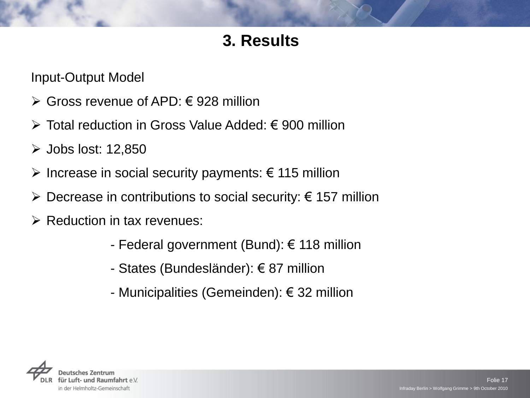### **3. Results**

Input-Output Model

- $\triangleright$  Gross revenue of APD:  $\in$  928 million
- Total reduction in Gross Value Added: € 900 million
- $\triangleright$  Jobs lost: 12,850
- $\triangleright$  Increase in social security payments: € 115 million
- $\triangleright$  Decrease in contributions to social security:  $\epsilon$  157 million
- $\triangleright$  Reduction in tax revenues:
	- Federal government (Bund): € 118 million
	- States (Bundesländer): € 87 million
	- Municipalities (Gemeinden): € 32 million

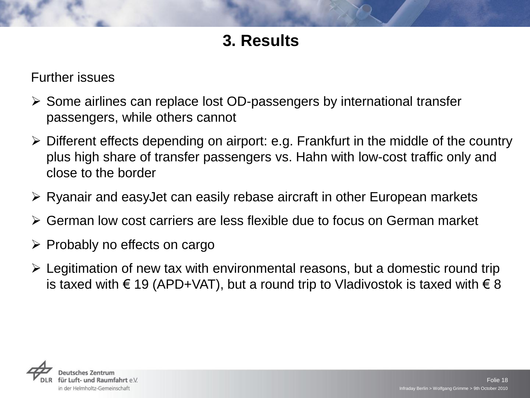### **3. Results**

#### Further issues

- $\triangleright$  Some airlines can replace lost OD-passengers by international transfer passengers, while others cannot
- Different effects depending on airport: e.g. Frankfurt in the middle of the country plus high share of transfer passengers vs. Hahn with low-cost traffic only and close to the border
- $\triangleright$  Ryanair and easyJet can easily rebase aircraft in other European markets
- German low cost carriers are less flexible due to focus on German market
- $\triangleright$  Probably no effects on cargo
- Legitimation of new tax with environmental reasons, but a domestic round trip is taxed with € 19 (APD+VAT), but a round trip to Vladivostok is taxed with  $∈$  8

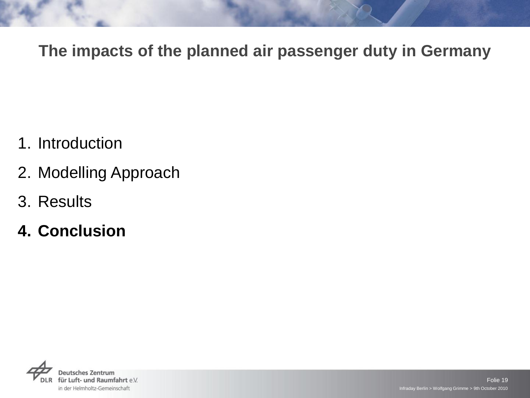- 1. Introduction
- 2. Modelling Approach
- 3. Results
- **4. Conclusion**